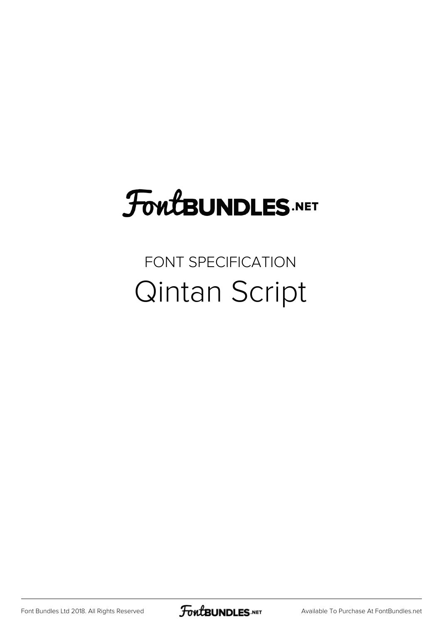## FoutBUNDLES.NET

## FONT SPECIFICATION Qintan Script

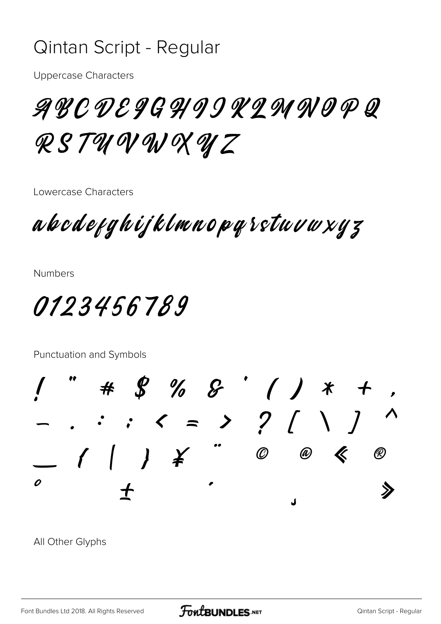## Qintan Script - Regular

**Uppercase Characters** 

ABCDE9GHIIKIMNOPQ RSTUNWXUZ

Lowercase Characters

abodefghijklmnopqrstuvwxyz

**Numbers** 

0123456789

Punctuation and Symbols

 $8%8'$  ( )  $*$  $($   $)$   $)$   $*$  $\mathcal{O}$  $\bm{\not}$  $\circledR$  $\circledR$  $\overline{\mathbf{a}}$ 

All Other Glyphs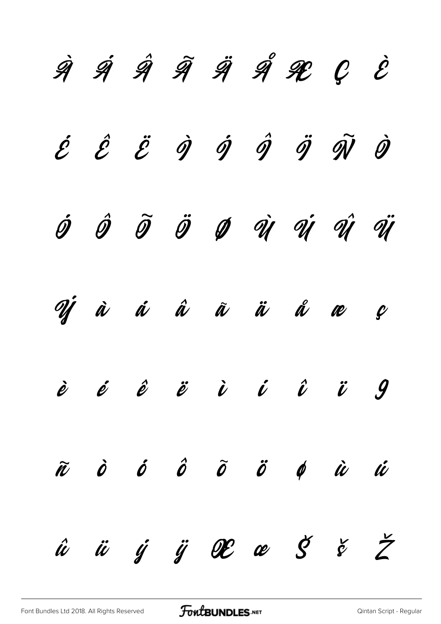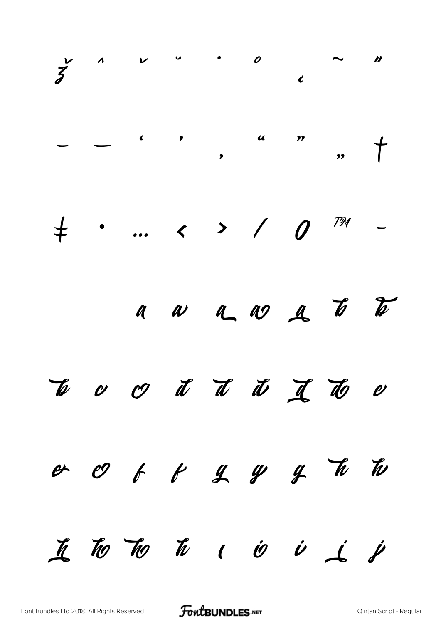